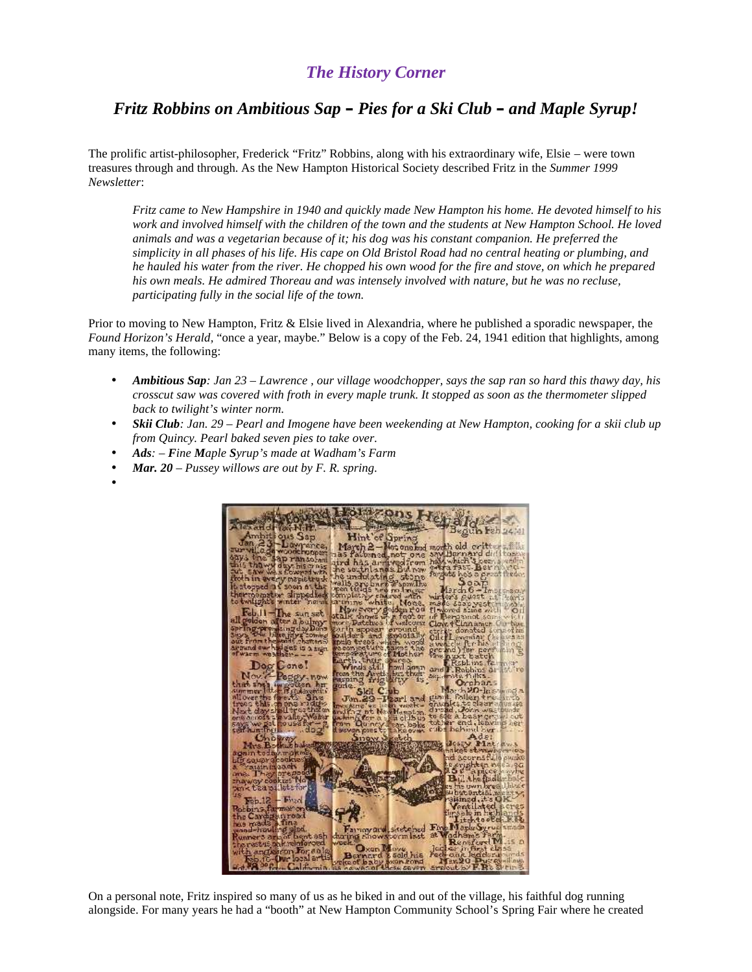## *The History Corner*

## *Fritz Robbins on Ambitious Sap – Pies for a Ski Club – and Maple Syrup!*

The prolific artist-philosopher, Frederick "Fritz" Robbins, along with his extraordinary wife, Elsie – were town treasures through and through. As the New Hampton Historical Society described Fritz in the *Summer 1999 Newsletter*:

*Fritz came to New Hampshire in 1940 and quickly made New Hampton his home. He devoted himself to his work and involved himself with the children of the town and the students at New Hampton School. He loved animals and was a vegetarian because of it; his dog was his constant companion. He preferred the simplicity in all phases of his life. His cape on Old Bristol Road had no central heating or plumbing, and he hauled his water from the river. He chopped his own wood for the fire and stove, on which he prepared his own meals. He admired Thoreau and was intensely involved with nature, but he was no recluse, participating fully in the social life of the town.*

Prior to moving to New Hampton, Fritz & Elsie lived in Alexandria, where he published a sporadic newspaper, the *Found Horizon's Herald,* "once a year, maybe." Below is a copy of the Feb. 24, 1941 edition that highlights, among many items, the following:

- *Ambitious Sap: Jan 23 – Lawrence , our village woodchopper, says the sap ran so hard this thawy day, his crosscut saw was covered with froth in every maple trunk. It stopped as soon as the thermometer slipped back to twilight's winter norm.*
- *Skii Club: Jan. 29 – Pearl and Imogene have been weekending at New Hampton, cooking for a skiiclub up from Quincy. Pearl baked seven pies to take over.*
- *Ads: – Fine Maple Syrup's made at Wadham's Farm*
- *Mar. 20 – Pussey willows are out by F. R. spring.*
- $\bullet$  and  $\bullet$



On a personal note, Fritz inspired so many of us as he biked in and out of the village, his faithful dog running alongside. For many years he had a "booth" at New Hampton Community School's Spring Fair where he created